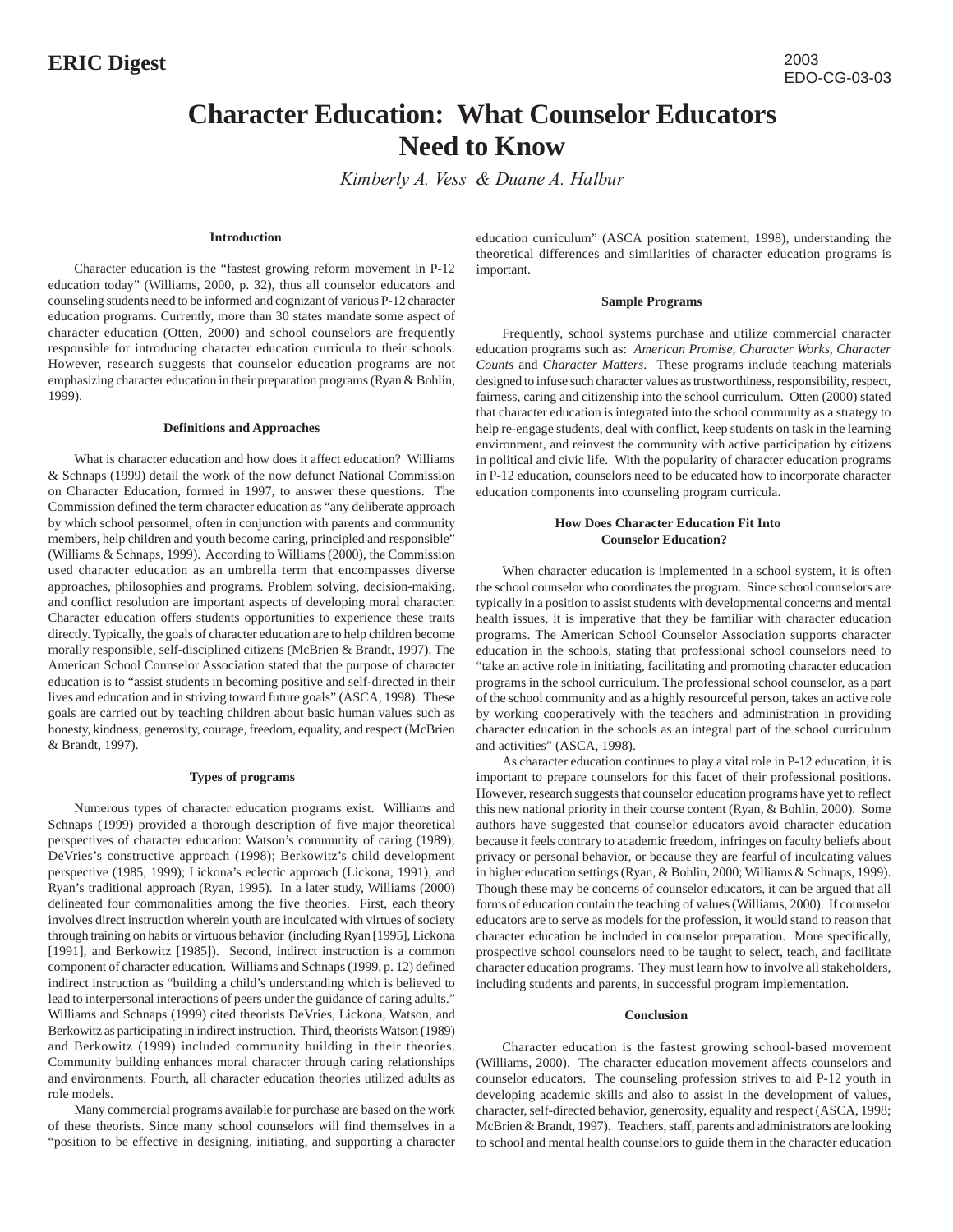# **Character Education: What Counselor Educators Need to Know**

*Kimberly A. Vess & Duane A. Halbur*

## **Introduction**

Character education is the "fastest growing reform movement in P-12 education today" (Williams, 2000, p. 32), thus all counselor educators and counseling students need to be informed and cognizant of various P-12 character education programs. Currently, more than 30 states mandate some aspect of character education (Otten, 2000) and school counselors are frequently responsible for introducing character education curricula to their schools. However, research suggests that counselor education programs are not emphasizing character education in their preparation programs (Ryan & Bohlin, 1999).

### **Definitions and Approaches**

What is character education and how does it affect education? Williams & Schnaps (1999) detail the work of the now defunct National Commission on Character Education, formed in 1997, to answer these questions. The Commission defined the term character education as "any deliberate approach by which school personnel, often in conjunction with parents and community members, help children and youth become caring, principled and responsible" (Williams & Schnaps, 1999). According to Williams (2000), the Commission used character education as an umbrella term that encompasses diverse approaches, philosophies and programs. Problem solving, decision-making, and conflict resolution are important aspects of developing moral character. Character education offers students opportunities to experience these traits directly. Typically, the goals of character education are to help children become morally responsible, self-disciplined citizens (McBrien & Brandt, 1997). The American School Counselor Association stated that the purpose of character education is to "assist students in becoming positive and self-directed in their lives and education and in striving toward future goals" (ASCA, 1998). These goals are carried out by teaching children about basic human values such as honesty, kindness, generosity, courage, freedom, equality, and respect (McBrien & Brandt, 1997).

# **Types of programs**

Numerous types of character education programs exist. Williams and Schnaps (1999) provided a thorough description of five major theoretical perspectives of character education: Watson's community of caring (1989); DeVries's constructive approach (1998); Berkowitz's child development perspective (1985, 1999); Lickona's eclectic approach (Lickona, 1991); and Ryan's traditional approach (Ryan, 1995). In a later study, Williams (2000) delineated four commonalities among the five theories. First, each theory involves direct instruction wherein youth are inculcated with virtues of society through training on habits or virtuous behavior (including Ryan [1995], Lickona [1991], and Berkowitz [1985]). Second, indirect instruction is a common component of character education. Williams and Schnaps (1999, p. 12) defined indirect instruction as "building a child's understanding which is believed to lead to interpersonal interactions of peers under the guidance of caring adults." Williams and Schnaps (1999) cited theorists DeVries, Lickona, Watson, and Berkowitz as participating in indirect instruction. Third, theorists Watson (1989) and Berkowitz (1999) included community building in their theories. Community building enhances moral character through caring relationships and environments. Fourth, all character education theories utilized adults as role models.

Many commercial programs available for purchase are based on the work of these theorists. Since many school counselors will find themselves in a "position to be effective in designing, initiating, and supporting a character

education curriculum" (ASCA position statement, 1998), understanding the theoretical differences and similarities of character education programs is important.

#### **Sample Programs**

Frequently, school systems purchase and utilize commercial character education programs such as: *American Promise*, *Character Works*, *Character Counts* and *Character Matters*. These programs include teaching materials designed to infuse such character values as trustworthiness, responsibility, respect, fairness, caring and citizenship into the school curriculum. Otten (2000) stated that character education is integrated into the school community as a strategy to help re-engage students, deal with conflict, keep students on task in the learning environment, and reinvest the community with active participation by citizens in political and civic life.With the popularity of character education programs in P-12 education, counselors need to be educated how to incorporate character education components into counseling program curricula.

# **How Does Character Education Fit Into Counselor Education?**

When character education is implemented in a school system, it is often the school counselor who coordinates the program. Since school counselors are typically in a position to assist students with developmental concerns and mental health issues, it is imperative that they be familiar with character education programs. The American School Counselor Association supports character education in the schools, stating that professional school counselors need to "take an active role in initiating, facilitating and promoting character education programs in the school curriculum. The professional school counselor, as a part of the school community and as a highly resourceful person, takes an active role by working cooperatively with the teachers and administration in providing character education in the schools as an integral part of the school curriculum and activities" (ASCA, 1998).

As character education continues to play a vital role in P-12 education, it is important to prepare counselors for this facet of their professional positions. However, research suggests that counselor education programs have yet to reflect this new national priority in their course content (Ryan, & Bohlin, 2000). Some authors have suggested that counselor educators avoid character education because it feels contrary to academic freedom, infringes on faculty beliefs about privacy or personal behavior, or because they are fearful of inculcating values in higher education settings (Ryan, & Bohlin, 2000; Williams & Schnaps, 1999). Though these may be concerns of counselor educators, it can be argued that all forms of education contain the teaching of values (Williams, 2000). If counselor educators are to serve as models for the profession, it would stand to reason that character education be included in counselor preparation. More specifically, prospective school counselors need to be taught to select, teach, and facilitate character education programs. They must learn how to involve all stakeholders, including students and parents, in successful program implementation.

#### **Conclusion**

Character education is the fastest growing school-based movement (Williams, 2000). The character education movement affects counselors and counselor educators. The counseling profession strives to aid P-12 youth in developing academic skills and also to assist in the development of values, character, self-directed behavior, generosity, equality and respect (ASCA, 1998; McBrien & Brandt, 1997). Teachers, staff, parents and administrators are looking to school and mental health counselors to guide them in the character education